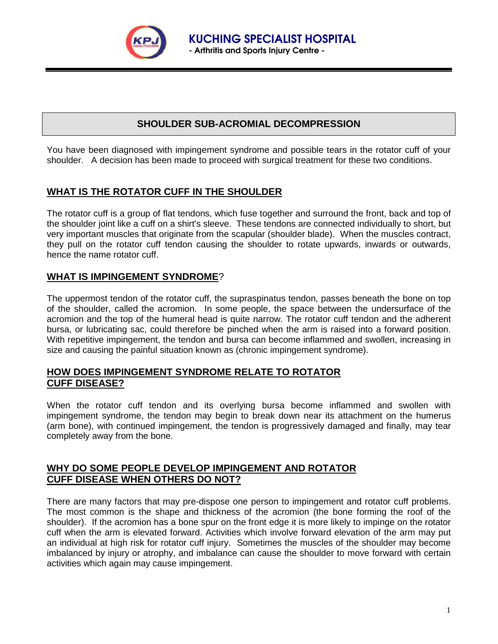

# **SHOULDER SUB-ACROMIAL DECOMPRESSION**

You have been diagnosed with impingement syndrome and possible tears in the rotator cuff of your shoulder. A decision has been made to proceed with surgical treatment for these two conditions.

## **WHAT IS THE ROTATOR CUFF IN THE SHOULDER**

The rotator cuff is a group of flat tendons, which fuse together and surround the front, back and top of the shoulder joint like a cuff on a shirt's sleeve. These tendons are connected individually to short, but very important muscles that originate from the scapular (shoulder blade). When the muscles contract, they pull on the rotator cuff tendon causing the shoulder to rotate upwards, inwards or outwards, hence the name rotator cuff.

## **WHAT IS IMPINGEMENT SYNDROME**?

The uppermost tendon of the rotator cuff, the supraspinatus tendon, passes beneath the bone on top of the shoulder, called the acromion. In some people, the space between the undersurface of the acromion and the top of the humeral head is quite narrow. The rotator cuff tendon and the adherent bursa, or lubricating sac, could therefore be pinched when the arm is raised into a forward position. With repetitive impingement, the tendon and bursa can become inflammed and swollen, increasing in size and causing the painful situation known as (chronic impingement syndrome).

#### **HOW DOES IMPINGEMENT SYNDROME RELATE TO ROTATOR CUFF DISEASE?**

When the rotator cuff tendon and its overlying bursa become inflammed and swollen with impingement syndrome, the tendon may begin to break down near its attachment on the humerus (arm bone), with continued impingement, the tendon is progressively damaged and finally, may tear completely away from the bone.

## **WHY DO SOME PEOPLE DEVELOP IMPINGEMENT AND ROTATOR CUFF DISEASE WHEN OTHERS DO NOT?**

There are many factors that may pre-dispose one person to impingement and rotator cuff problems. The most common is the shape and thickness of the acromion (the bone forming the roof of the shoulder). If the acromion has a bone spur on the front edge it is more likely to impinge on the rotator cuff when the arm is elevated forward. Activities which involve forward elevation of the arm may put an individual at high risk for rotator cuff injury. Sometimes the muscles of the shoulder may become imbalanced by injury or atrophy, and imbalance can cause the shoulder to move forward with certain activities which again may cause impingement.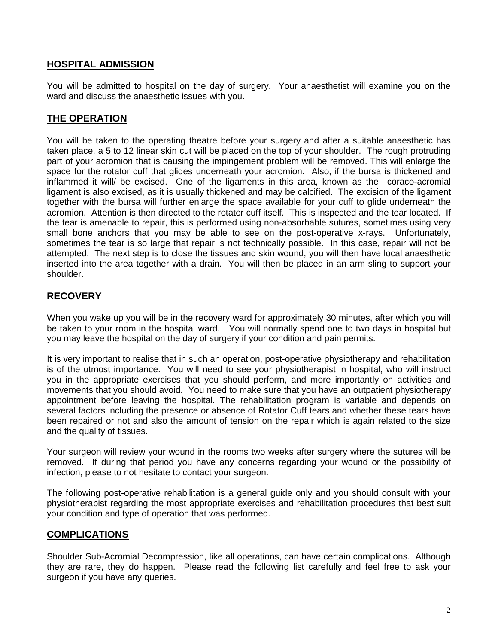### **HOSPITAL ADMISSION**

You will be admitted to hospital on the day of surgery. Your anaesthetist will examine you on the ward and discuss the anaesthetic issues with you.

## **THE OPERATION**

You will be taken to the operating theatre before your surgery and after a suitable anaesthetic has taken place, a 5 to 12 linear skin cut will be placed on the top of your shoulder. The rough protruding part of your acromion that is causing the impingement problem will be removed. This will enlarge the space for the rotator cuff that glides underneath your acromion. Also, if the bursa is thickened and inflammed it will/ be excised. One of the ligaments in this area, known as the coraco-acromial ligament is also excised, as it is usually thickened and may be calcified. The excision of the ligament together with the bursa will further enlarge the space available for your cuff to glide underneath the acromion. Attention is then directed to the rotator cuff itself. This is inspected and the tear located. If the tear is amenable to repair, this is performed using non-absorbable sutures, sometimes using very small bone anchors that you may be able to see on the post-operative x-rays. Unfortunately, sometimes the tear is so large that repair is not technically possible. In this case, repair will not be attempted. The next step is to close the tissues and skin wound, you will then have local anaesthetic inserted into the area together with a drain. You will then be placed in an arm sling to support your shoulder.

## **RECOVERY**

When you wake up you will be in the recovery ward for approximately 30 minutes, after which you will be taken to your room in the hospital ward. You will normally spend one to two days in hospital but you may leave the hospital on the day of surgery if your condition and pain permits.

It is very important to realise that in such an operation, post-operative physiotherapy and rehabilitation is of the utmost importance. You will need to see your physiotherapist in hospital, who will instruct you in the appropriate exercises that you should perform, and more importantly on activities and movements that you should avoid. You need to make sure that you have an outpatient physiotherapy appointment before leaving the hospital. The rehabilitation program is variable and depends on several factors including the presence or absence of Rotator Cuff tears and whether these tears have been repaired or not and also the amount of tension on the repair which is again related to the size and the quality of tissues.

Your surgeon will review your wound in the rooms two weeks after surgery where the sutures will be removed. If during that period you have any concerns regarding your wound or the possibility of infection, please to not hesitate to contact your surgeon.

The following post-operative rehabilitation is a general guide only and you should consult with your physiotherapist regarding the most appropriate exercises and rehabilitation procedures that best suit your condition and type of operation that was performed.

#### **COMPLICATIONS**

Shoulder Sub-Acromial Decompression, like all operations, can have certain complications. Although they are rare, they do happen. Please read the following list carefully and feel free to ask your surgeon if you have any queries.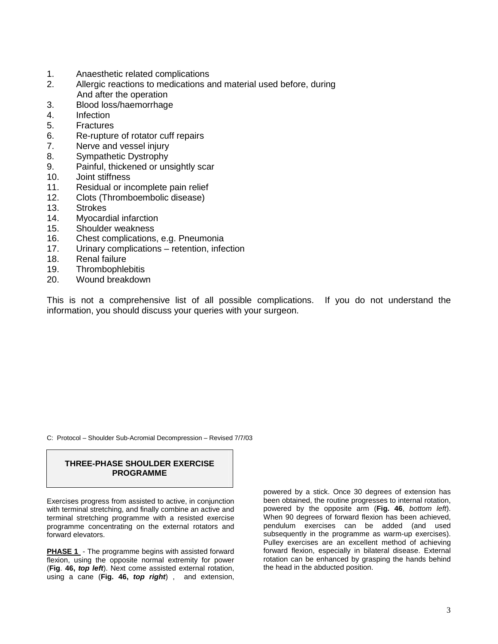- 1. Anaesthetic related complications
- 2. Allergic reactions to medications and material used before, during And after the operation
- 3. Blood loss/haemorrhage
- 4. Infection
- 5. Fractures
- 6. Re-rupture of rotator cuff repairs
- 7. Nerve and vessel injury
- 8. Sympathetic Dystrophy
- 9. Painful, thickened or unsightly scar
- 10. Joint stiffness
- 11. Residual or incomplete pain relief
- 12. Clots (Thromboembolic disease)
- 13. Strokes
- 14. Myocardial infarction
- 15. Shoulder weakness
- 16. Chest complications, e.g. Pneumonia
- 17. Urinary complications retention, infection
- 18. Renal failure
- 19. Thrombophlebitis
- 20. Wound breakdown

This is not a comprehensive list of all possible complications. If you do not understand the information, you should discuss your queries with your surgeon.

C: Protocol – Shoulder Sub-Acromial Decompression – Revised 7/7/03

#### **THREE-PHASE SHOULDER EXERCISE PROGRAMME**

Exercises progress from assisted to active, in conjunction with terminal stretching, and finally combine an active and terminal stretching programme with a resisted exercise programme concentrating on the external rotators and forward elevators.

**PHASE 1** - The programme begins with assisted forward flexion, using the opposite normal extremity for power (**Fig**. **46, top left**). Next come assisted external rotation, using a cane (**Fig. 46, top right**) , and extension,

powered by a stick. Once 30 degrees of extension has been obtained, the routine progresses to internal rotation, powered by the opposite arm (**Fig. 46**, bottom left). When 90 degrees of forward flexion has been achieved, pendulum exercises can be added (and used subsequently in the programme as warm-up exercises). Pulley exercises are an excellent method of achieving forward flexion, especially in bilateral disease. External rotation can be enhanced by grasping the hands behind the head in the abducted position.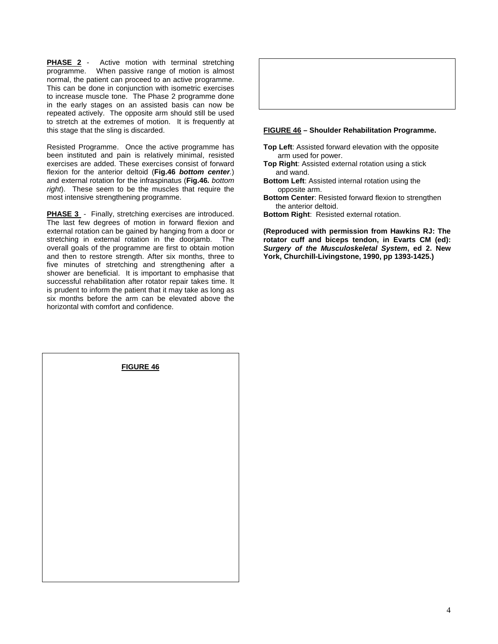**PHASE 2** - Active motion with terminal stretching programme. When passive range of motion is almost normal, the patient can proceed to an active programme. This can be done in conjunction with isometric exercises to increase muscle tone. The Phase 2 programme done in the early stages on an assisted basis can now be repeated actively. The opposite arm should still be used to stretch at the extremes of motion. It is frequently at this stage that the sling is discarded.

Resisted Programme. Once the active programme has been instituted and pain is relatively minimal, resisted exercises are added. These exercises consist of forward flexion for the anterior deltoid (**Fig.46 bottom center**.) and external rotation for the infraspinatus (**Fig.46.** bottom right). These seem to be the muscles that require the most intensive strengthening programme.

**PHASE 3** - Finally, stretching exercises are introduced. The last few degrees of motion in forward flexion and external rotation can be gained by hanging from a door or stretching in external rotation in the doorjamb. The overall goals of the programme are first to obtain motion and then to restore strength. After six months, three to five minutes of stretching and strengthening after a shower are beneficial. It is important to emphasise that successful rehabilitation after rotator repair takes time. It is prudent to inform the patient that it may take as long as six months before the arm can be elevated above the horizontal with comfort and confidence.



#### **FIGURE 46 – Shoulder Rehabilitation Programme.**

- **Top Left**: Assisted forward elevation with the opposite arm used for power.
- **Top Right**: Assisted external rotation using a stick and wand.
- **Bottom Left**: Assisted internal rotation using the opposite arm.
- **Bottom Center**: Resisted forward flexion to strengthen the anterior deltoid.
- **Bottom Right**: Resisted external rotation.

**(Reproduced with permission from Hawkins RJ: The rotator cuff and biceps tendon, in Evarts CM (ed): Surgery of the Musculoskeletal System, ed 2. New York, Churchill-Livingstone, 1990, pp 1393-1425.)** 

| FIGURE 46 |  |  |  |
|-----------|--|--|--|
|           |  |  |  |
|           |  |  |  |
|           |  |  |  |
|           |  |  |  |
|           |  |  |  |
|           |  |  |  |
|           |  |  |  |
|           |  |  |  |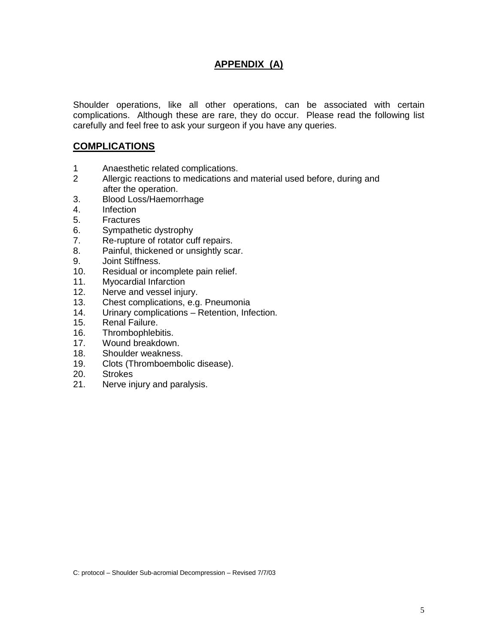## **APPENDIX (A)**

Shoulder operations, like all other operations, can be associated with certain complications. Although these are rare, they do occur. Please read the following list carefully and feel free to ask your surgeon if you have any queries.

#### **COMPLICATIONS**

- 1 Anaesthetic related complications.
- 2 Allergic reactions to medications and material used before, during and after the operation.
- 3. Blood Loss/Haemorrhage
- 4. Infection
- 5. Fractures
- 6. Sympathetic dystrophy
- 7. Re-rupture of rotator cuff repairs.
- 8. Painful, thickened or unsightly scar.
- 9. Joint Stiffness.
- 10. Residual or incomplete pain relief.
- 11. Myocardial Infarction
- 12. Nerve and vessel injury.
- 13. Chest complications, e.g. Pneumonia
- 14. Urinary complications Retention, Infection.
- 15. Renal Failure.
- 16. Thrombophlebitis.
- 17. Wound breakdown.
- 18. Shoulder weakness.
- 19. Clots (Thromboembolic disease).
- 20. Strokes
- 21. Nerve injury and paralysis.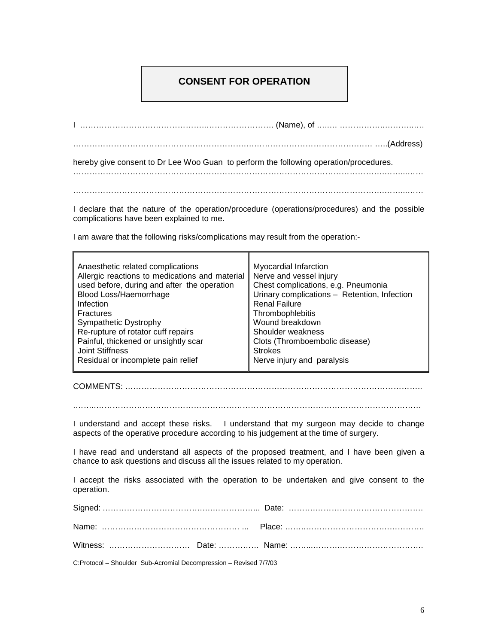#### **CONSENT FOR OPERATION**

I ………………………………………..……………………. (Name), of …..… ……………..………..…. ……………………………………………………….….……………………………….…… …..(Address) hereby give consent to Dr Lee Woo Guan to perform the following operation/procedures. …………………………………………………………………………………………………….……...……

…………………………………………………………………………………………………….……...……

I declare that the nature of the operation/procedure (operations/procedures) and the possible complications have been explained to me.

I am aware that the following risks/complications may result from the operation:-

COMMENTS: ………………………………………………………………………………………………..

.……..…………………………………………………………………………………………………………

I understand and accept these risks. I understand that my surgeon may decide to change aspects of the operative procedure according to his judgement at the time of surgery.

I have read and understand all aspects of the proposed treatment, and I have been given a chance to ask questions and discuss all the issues related to my operation.

I accept the risks associated with the operation to be undertaken and give consent to the operation.

| C: Protocol Chaulder Cub Assemial Decembraccion Deviced 7/7/02 |  |
|----------------------------------------------------------------|--|

C:Protocol – Shoulder Sub-Acromial Decompression – Revised 7/7/03